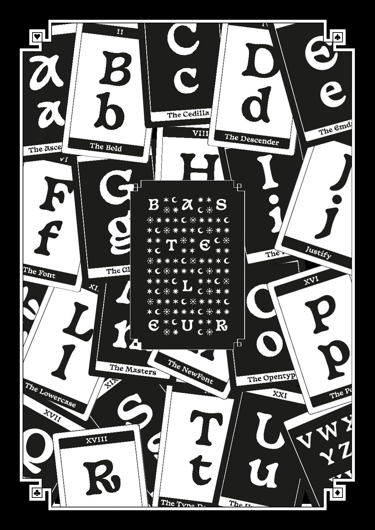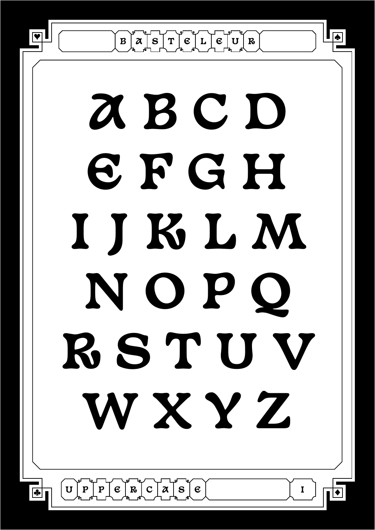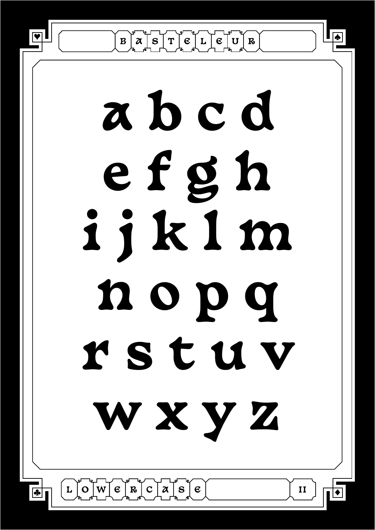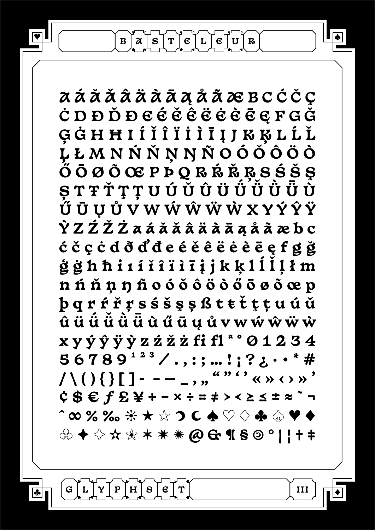$\mathbf{B} \mid \mathcal{X} \mid \mathbf{S} \mid \mathbf{T} \mid \mathbf{E} \mid \mathbf{L} \mid \mathbf{E} \mid \mathbf{U} \mid \mathbf{R}$ 

**A Á Ă Ǎ Â Ä À Ā Ą Å Ã Æ B C Ć Č Ç Ċ D Ð Ď Đ E É Ě Ê Ë Ė È Ē Ę F G Ğ Ģ Ġ H Ħ I Í Ǐ Î Ï İ Ì Ī Į J K Ķ L Ĺ Ľ Ļ Ł M N Ń Ň Ņ Ŋ Ñ O Ó Ǒ Ô Ö Ò Ő Ō Ø Õ Œ P Þ Q R Ŕ Ř Ŗ S Ś Š Ş Ș T Ŧ Ť Ţ Ț U Ú Ǔ Û Ü Ǘ Ǚ Ǜ Ǖ Ù Ű Ū Ų Ů V W Ẃ Ŵ Ẅ Ẁ X Y Ý Ŷ Ÿ Ỳ Z Ź Ž Ż a á ă ǎ â ä à ā ą å ã æ b c ć č ç ċ d ð ď đ e é ě ê ë ė è ē ę f g ğ ģ ġ h ħ i ı í ǐ î ï ì ī į j k ķ l ĺ ľ ļ ł m n ń ň ņ ŋ ñ o ó ǒ ô ö ò ő ō ø õ œ p þ q r ŕ ř ŗ s ś š ş ș ß t ŧ ť ţ ț u ú ǔ û ü ǘ ǚ ǜ ǖ ù ű ū ų ů v w ẃ ŵ ẅ ẁ x y ý ŷ ÿ ỳ z ź ž ż fi fl ª º 0 1 2 3 4**   $56789^{123}$ ,  $\ldots$ ;; $\dots$ !;?;...  $*$ # **/ \ ( ) { } [ ] - – — \_ ' " " " ' ' « » ‹ › » ' ¢ \$ € ƒ £ ¥ + − × ÷ = ≠ > < ≥ ≤ ± ≈ ~ ¬ ^ ∞ % ‰ ☀ ★ ☆ ☽ ☾ ♠ ♡ ♢ ♣ ♤ ♥ ♦ ♧ ✦ ✧ ✫ ✬ ✶ ✷ ✹ @ & ¶ § © ° | ¦ † ‡**

**III**

**♦**

**♠**

**♥**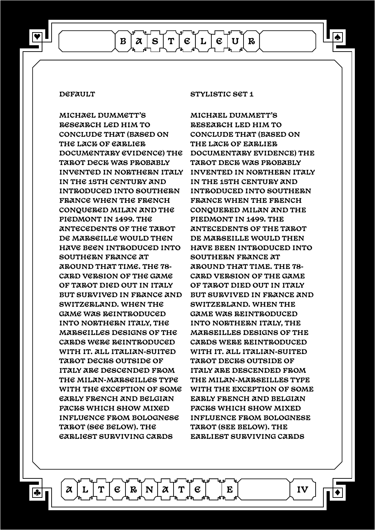**♥**

**MICHAEL DUMMETT'S RESEARCH LED HIM TO CONCLUDE THAT (BASED ON THE LACK OF EARLIER DOCUMENTARY EVIDENCE) THE TAROT DECK WAS PROBABLY INVENTED IN NORTHERN ITALY IN THE 15TH CENTURY AND INTRODUCED INTO SOUTHERN FRANCE WHEN THE FRENCH CONQUERED MILAN AND THE PIEDMONT IN 1499. THE ANTECEDENTS OF THE TAROT DE MARSEILLE WOULD THEN HAVE BEEN INTRODUCED INTO SOUTHERN FRANCE AT AROUND THAT TIME. THE 78- CARD VERSION OF THE GAME OF TAROT DIED OUT IN ITALY BUT SURVIVED IN FRANCE AND SWITZERLAND. WHEN THE GAME WAS REINTRODUCED INTO NORTHERN ITALY, THE MARSEILLES DESIGNS OF THE CARDS WERE REINTRODUCED WITH IT. ALL ITALIAN-SUITED TAROT DECKS OUTSIDE OF ITALY ARE DESCENDED FROM THE MILAN-MARSEILLES TYPE WITH THE EXCEPTION OF SOME EARLY FRENCH AND BELGIAN PACKS WHICH SHOW MIXED INFLUENCE FROM BOLOGNESE TAROT (SEE BELOW). THE EARLIEST SURVIVING CARDS** 

 $\mathcal{A} \mid L \mid T \mid \mathfrak{E} \mid \mathbf{R} \mid \mathbf{N} \mid \mathcal{A} \mid T \mid \mathfrak{E} \mid \quad \mid \mathbf{E}$ 

**DEFAULT STYLISTIC SET 1**

 $B | \mathbf{X} | S | T | \mathbf{E} | L | \mathbf{E} | U | R$ 

**MICHAEL DUMMETT'S RESEARCH LED HIM TO CONCLUDE THAT (BASED ON THE LACK OF EARLIER DOCUMENTARY EVIDENCE) THE TAROT DECK WAS PROBABLY INVENTED IN NORTHERN ITALY IN THE 15TH CENTURY AND INTRODUCED INTO SOUTHERN FRANCE WHEN THE FRENCH CONQUERED MILAN AND THE PIEDMONT IN 1499. THE ANTECEDENTS OF THE TAROT DE MARSEILLE WOULD THEN HAVE BEEN INTRODUCED INTO SOUTHERN FRANCE AT AROUND THAT TIME. THE 78- CARD VERSION OF THE GAME OF TAROT DIED OUT IN ITALY BUT SURVIVED IN FRANCE AND SWITZERLAND. WHEN THE GAME WAS REINTRODUCED INTO NORTHERN ITALY, THE MARSEILLES DESIGNS OF THE CARDS WERE REINTRODUCED WITH IT. ALL ITALIAN-SUITED TAROT DECKS OUTSIDE OF ITALY ARE DESCENDED FROM THE MILAN-MARSEILLES TYPE WITH THE EXCEPTION OF SOME EARLY FRENCH AND BELGIAN PACKS WHICH SHOW MIXED INFLUENCE FROM BOLOGNESE TAROT (SEE BELOW). THE EARLIEST SURVIVING CARDS** 

**IV**

**♦**

**♠**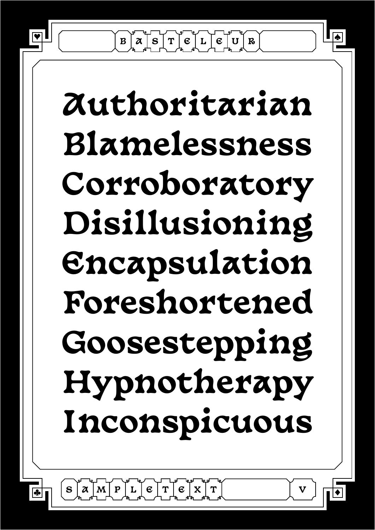$\mathbf{B} \mid \mathcal{X} \mid \mathbf{S} \mid \mathbf{T} \mid \mathbf{E} \mid \mathbf{L} \mid \mathbf{E} \mid \mathbf{U} \mid \mathbf{R}$ 

## **Authoritarian Blamelessness Corroboratory Disillusioning Encapsulation Foreshortened Goosestepping Hypnotherapy Inconspicuous**

**V**

**♦**

**♠**

**♥**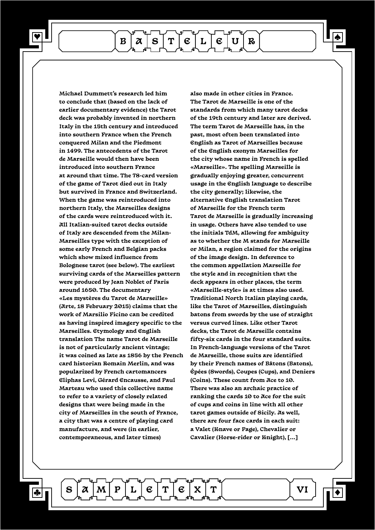**♥**

 $\mathbf{B} \mid \mathcal{X} \mid \mathbf{S} \mid \mathbf{T} \mid \mathbf{E} \mid \mathbf{L} \mid \mathbf{E} \mid \mathbf{U} \mid \mathbf{R}$ 

**Michael Dummett's research led him to conclude that (based on the lack of earlier documentary evidence) the Tarot deck was probably invented in northern Italy in the 15th century and introduced into southern France when the French conquered Milan and the Piedmont in 1499. The antecedents of the Tarot de Marseille would then have been introduced into southern France at around that time. The 78-card version of the game of Tarot died out in Italy but survived in France and Switzerland. When the game was reintroduced into northern Italy, the Marseilles designs of the cards were reintroduced with it. All Italian-suited tarot decks outside of Italy are descended from the Milan-Marseilles type with the exception of some early French and Belgian packs which show mixed influence from Bolognese tarot (see below). The earliest surviving cards of the Marseilles pattern were produced by Jean Noblet of Paris around 1650. The documentary «Les mystères du Tarot de Marseille» (Arte, 18 February 2015) claims that the work of Marsilio Ficino can be credited as having inspired imagery specific to the Marseilles. Etymology and English translation The name Tarot de Marseille is not of particularly ancient vintage; it was coined as late as 1856 by the French card historian Romain Merlin, and was popularized by French cartomancers Eliphas Levi, Gérard Encausse, and Paul Marteau who used this collective name to refer to a variety of closely related designs that were being made in the city of Marseilles in the south of France, a city that was a centre of playing card manufacture, and were (in earlier, contemporaneous, and later times)**

**also made in other cities in France. The Tarot de Marseille is one of the standards from which many tarot decks of the 19th century and later are derived. The term Tarot de Marseille has, in the past, most often been translated into English as Tarot of Marseilles because of the English exonym Marseilles for the city whose name in French is spelled «Marseille». The spelling Marseille is gradually enjoying greater, concurrent usage in the English language to describe the city generally; likewise, the alternative English translation Tarot of Marseille for the French term Tarot de Marseille is gradually increasing in usage. Others have also tended to use the initials TdM, allowing for ambiguity as to whether the M stands for Marseille or Milan, a region claimed for the origins of the image design. In deference to the common appellation Marseille for the style and in recognition that the deck appears in other places, the term «Marseille-style» is at times also used. Traditional North Italian playing cards, like the Tarot of Marseilles, distinguish batons from swords by the use of straight versus curved lines. Like other Tarot decks, the Tarot de Marseille contains fifty-six cards in the four standard suits. In French-language versions of the Tarot de Marseille, those suits are identified by their French names of Bâtons (Batons), Épées (Swords), Coupes (Cups), and Deniers (Coins). These count from Ace to 10. There was also an archaic practice of ranking the cards 10 to Ace for the suit of cups and coins in line with all other tarot games outside of Sicily. As well, there are four face cards in each suit: a Valet (Knave or Page), Chevalier or Cavalier (Horse-rider or Knight), [...]**

 $\mathbf{S} \mid \mathcal{X} \mid \mathbf{M} \mid \mathbf{P} \mid \mathbf{L} \mid \mathbf{\mathfrak{C}} \mid \mathbf{T} \mid \mathbf{\mathfrak{C}} \mid \mathbf{X} \mid \mathbf{T}$ 

**VI**

**♦**

**♠**